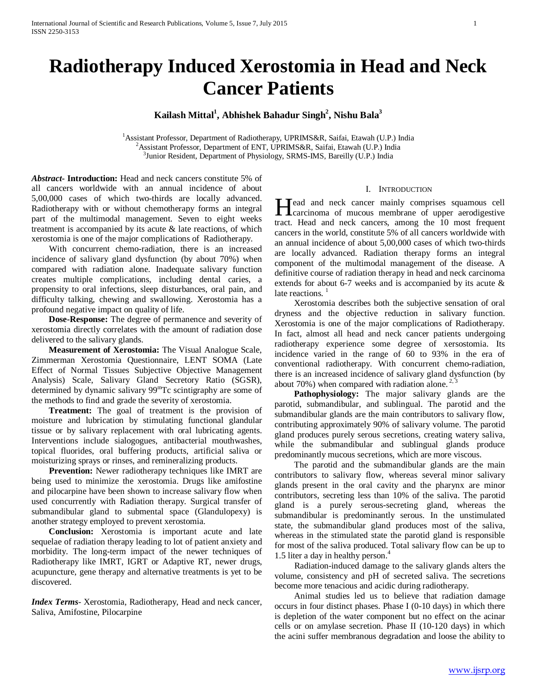# **Radiotherapy Induced Xerostomia in Head and Neck Cancer Patients**

## $\mathbf K$ ailash Mittal<sup>1</sup>, Abhishek Bahadur Singh<sup>2</sup>, Nishu Bala<sup>3</sup>

<sup>1</sup> Assistant Professor, Department of Radiotherapy, UPRIMS&R, Saifai, Etawah (U.P.) India <sup>2</sup> Assistant Professor, Department of ENT, UPPIMS & P. Saifai, Etawah (U.P.) India <sup>2</sup> Assistant Professor, Department of ENT, UPRIMS&R, Saifai, Etawah (U.P.) India  $3$ Junior Resident, Department of Physiology, SRMS-IMS, Bareilly (U.P.) India

*Abstract***- Introduction:** Head and neck cancers constitute 5% of all cancers worldwide with an annual incidence of about 5,00,000 cases of which two-thirds are locally advanced. Radiotherapy with or without chemotherapy forms an integral part of the multimodal management. Seven to eight weeks treatment is accompanied by its acute & late reactions, of which xerostomia is one of the major complications of Radiotherapy.

 With concurrent chemo-radiation, there is an increased incidence of salivary gland dysfunction (by about 70%) when compared with radiation alone. Inadequate salivary function creates multiple complications, including dental caries, a propensity to oral infections, sleep disturbances, oral pain, and difficulty talking, chewing and swallowing. Xerostomia has a profound negative impact on quality of life.

 **Dose-Response:** The degree of permanence and severity of xerostomia directly correlates with the amount of radiation dose delivered to the salivary glands.

 **Measurement of Xerostomia:** The Visual Analogue Scale, Zimmerman Xerostomia Questionnaire, LENT SOMA (Late Effect of Normal Tissues Subjective Objective Management Analysis) Scale, Salivary Gland Secretory Ratio (SGSR), determined by dynamic salivary 99<sup>m</sup>Tc scintigraphy are some of the methods to find and grade the severity of xerostomia.

 **Treatment:** The goal of treatment is the provision of moisture and lubrication by stimulating functional glandular tissue or by salivary replacement with oral lubricating agents. Interventions include sialogogues, antibacterial mouthwashes, topical fluorides, oral buffering products, artificial saliva or moisturizing sprays or rinses, and remineralizing products.

 **Prevention:** Newer radiotherapy techniques like IMRT are being used to minimize the xerostomia. Drugs like amifostine and pilocarpine have been shown to increase salivary flow when used concurrently with Radiation therapy. Surgical transfer of submandibular gland to submental space (Glandulopexy) is another strategy employed to prevent xerostomia.

 **Conclusion:** Xerostomia is important acute and late sequelae of radiation therapy leading to lot of patient anxiety and morbidity. The long-term impact of the newer techniques of Radiotherapy like IMRT, IGRT or Adaptive RT, newer drugs, acupuncture, gene therapy and alternative treatments is yet to be discovered.

*Index Terms*- Xerostomia, Radiotherapy, Head and neck cancer, Saliva, Amifostine, Pilocarpine

#### I. INTRODUCTION

Tead and neck cancer mainly comprises squamous cell Head and neck cancer mainly comprises squamous cell<br>carcinoma of mucous membrane of upper aerodigestive<br>that Head is the 10 model. tract. Head and neck cancers, among the 10 most frequent cancers in the world, constitute 5% of all cancers worldwide with an annual incidence of about 5,00,000 cases of which two-thirds are locally advanced. Radiation therapy forms an integral component of the multimodal management of the disease. A definitive course of radiation therapy in head and neck carcinoma extends for about 6-7 weeks and is accompanied by its acute & late reactions.  $\frac{1}{1}$ 

 Xerostomia describes both the subjective sensation of oral dryness and the objective reduction in salivary function. Xerostomia is one of the major complications of Radiotherapy. In fact, almost all head and neck cancer patients undergoing radiotherapy experience some degree of xersostomia. Its incidence varied in the range of 60 to 93% in the era of conventional radiotherapy. With concurrent chemo-radiation, there is an increased incidence of salivary gland dysfunction (by about 70%) when compared with radiation alone.  $2,3$ 

 **Pathophysiology:** The major salivary glands are the parotid, submandibular, and sublingual. The parotid and the submandibular glands are the main contributors to salivary flow, contributing approximately 90% of salivary volume. The parotid gland produces purely serous secretions, creating watery saliva, while the submandibular and sublingual glands produce predominantly mucous secretions, which are more viscous.

 The parotid and the submandibular glands are the main contributors to salivary flow, whereas several minor salivary glands present in the oral cavity and the pharynx are minor contributors, secreting less than 10% of the saliva. The parotid gland is a purely serous-secreting gland, whereas the submandibular is predominantly serous. In the unstimulated state, the submandibular gland produces most of the saliva, whereas in the stimulated state the parotid gland is responsible for most of the saliva produced. Total salivary flow can be up to 1.5 liter a day in healthy person. $4$ 

 Radiation-induced damage to the salivary glands alters the volume, consistency and pH of secreted saliva. The secretions become more tenacious and acidic during radiotherapy.

 Animal studies led us to believe that radiation damage occurs in four distinct phases. Phase I (0-10 days) in which there is depletion of the water component but no effect on the acinar cells or on amylase secretion. Phase II (10-120 days) in which the acini suffer membranous degradation and loose the ability to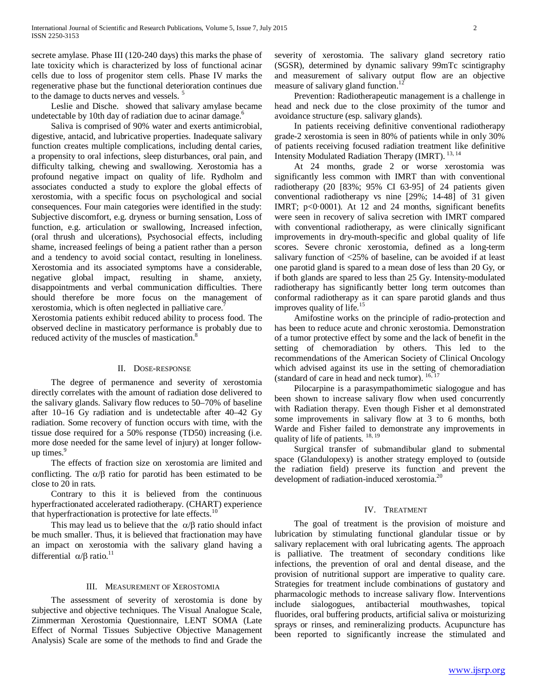secrete amylase. Phase III (120-240 days) this marks the phase of late toxicity which is characterized by loss of functional acinar cells due to loss of progenitor stem cells. Phase IV marks the regenerative phase but the functional deterioration continues due to the damage to ducts nerves and vessels.<sup>5</sup>

 Leslie and Dische. showed that salivary amylase became undetectable by 10th day of radiation due to acinar damage.<sup>6</sup>

 Saliva is comprised of 90% water and exerts antimicrobial, digestive, antacid, and lubricative properties. Inadequate salivary function creates multiple complications, including dental caries, a propensity to oral infections, sleep disturbances, oral pain, and difficulty talking, chewing and swallowing. Xerostomia has a profound negative impact on quality of life. Rydholm and associates conducted a study to explore the global effects of xerostomia, with a specific focus on psychological and social consequences. Four main categories were identified in the study: Subjective discomfort, e.g. dryness or burning sensation, Loss of function, e.g. articulation or swallowing, Increased infection, (oral thrush and ulcerations), Psychosocial effects, including shame, increased feelings of being a patient rather than a person and a tendency to avoid social contact, resulting in loneliness. Xerostomia and its associated symptoms have a considerable, negative global impact, resulting in shame, anxiety, disappointments and verbal communication difficulties. There should therefore be more focus on the management of xerostomia, which is often neglected in palliative care.7

Xerostomia patients exhibit reduced ability to process food. The observed decline in masticatory performance is probably due to reduced activity of the muscles of mastication.<sup>8</sup>

#### II. DOSE-RESPONSE

 The degree of permanence and severity of xerostomia directly correlates with the amount of radiation dose delivered to the salivary glands. Salivary flow reduces to 50–70% of baseline after 10–16 Gy radiation and is undetectable after 40–42 Gy radiation. Some recovery of function occurs with time, with the tissue dose required for a 50% response (TD50) increasing (i.e. more dose needed for the same level of injury) at longer followup times.<sup>9</sup>

 The effects of fraction size on xerostomia are limited and conflicting. The  $\alpha/\beta$  ratio for parotid has been estimated to be close to 20 in rats.

 Contrary to this it is believed from the continuous hyperfractionated accelerated radiotherapy. (CHART) experience that hyperfractionation is protective for late effects.<sup>10</sup>

This may lead us to believe that the  $\alpha/\beta$  ratio should infact be much smaller. Thus, it is believed that fractionation may have an impact on xerostomia with the salivary gland having a differential  $\alpha/\beta$  ratio.<sup>11</sup>

#### III. MEASUREMENT OF XEROSTOMIA

 The assessment of severity of xerostomia is done by subjective and objective techniques. The Visual Analogue Scale, Zimmerman Xerostomia Questionnaire, LENT SOMA (Late Effect of Normal Tissues Subjective Objective Management Analysis) Scale are some of the methods to find and Grade the severity of xerostomia. The salivary gland secretory ratio (SGSR), determined by dynamic salivary 99mTc scintigraphy and measurement of salivary output flow are an objective measure of salivary gland function. $^{12}$ 

 Prevention: Radiotherapeutic management is a challenge in head and neck due to the close proximity of the tumor and avoidance structure (esp. salivary glands).

 In patients receiving definitive conventional radiotherapy grade-2 xerostomia is seen in 80% of patients while in only 30% of patients receiving focused radiation treatment like definitive Intensity Modulated Radiation Therapy (IMRT). <sup>13, 14</sup>

 At 24 months, grade 2 or worse xerostomia was significantly less common with IMRT than with conventional radiotherapy (20 [83%; 95% CI 63-95] of 24 patients given conventional radiotherapy vs nine [29%; 14-48] of 31 given IMRT; p<0·0001). At 12 and 24 months, significant benefits were seen in recovery of saliva secretion with IMRT compared with conventional radiotherapy, as were clinically significant improvements in dry-mouth-specific and global quality of life scores. Severe chronic xerostomia, defined as a long-term salivary function of <25% of baseline, can be avoided if at least one parotid gland is spared to a mean dose of less than 20 Gy, or if both glands are spared to less than 25 Gy. Intensity-modulated radiotherapy has significantly better long term outcomes than conformal radiotherapy as it can spare parotid glands and thus improves quality of life.<sup>15</sup>

 Amifostine works on the principle of radio-protection and has been to reduce acute and chronic xerostomia. Demonstration of a tumor protective effect by some and the lack of benefit in the setting of chemoradiation by others. This led to the recommendations of the American Society of Clinical Oncology which advised against its use in the setting of chemoradiation (standard of care in head and neck tumor).  $16, 17$ 

 Pilocarpine is a parasympathomimetic sialogogue and has been shown to increase salivary flow when used concurrently with Radiation therapy. Even though Fisher et al demonstrated some improvements in salivary flow at 3 to 6 months, both Warde and Fisher failed to demonstrate any improvements in quality of life of patients. <sup>18, 19</sup>

 Surgical transfer of submandibular gland to submental space (Glandulopexy) is another strategy employed to (outside the radiation field) preserve its function and prevent the development of radiation-induced xerostomia.<sup>20</sup>

#### IV. TREATMENT

 The goal of treatment is the provision of moisture and lubrication by stimulating functional glandular tissue or by salivary replacement with oral lubricating agents. The approach is palliative. The treatment of secondary conditions like infections, the prevention of oral and dental disease, and the provision of nutritional support are imperative to quality care. Strategies for treatment include combinations of gustatory and pharmacologic methods to increase salivary flow. Interventions include sialogogues, antibacterial mouthwashes, topical fluorides, oral buffering products, artificial saliva or moisturizing sprays or rinses, and remineralizing products. Acupuncture has been reported to significantly increase the stimulated and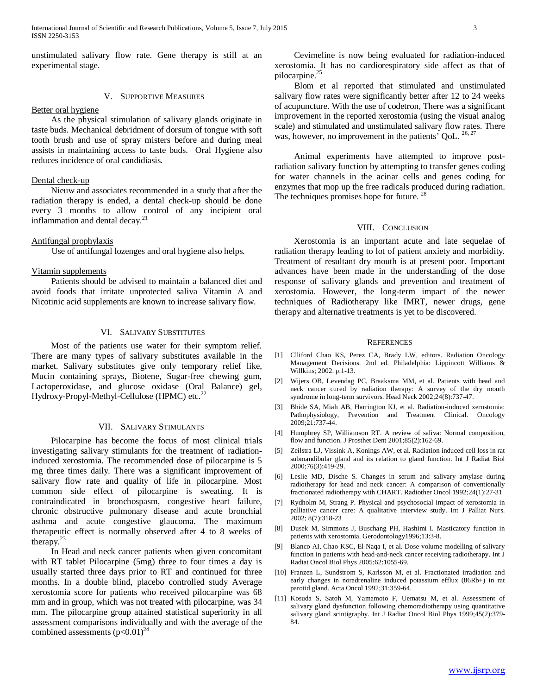unstimulated salivary flow rate. Gene therapy is still at an experimental stage.

#### V. SUPPORTIVE MEASURES

#### Better oral hygiene

 As the physical stimulation of salivary glands originate in taste buds. Mechanical debridment of dorsum of tongue with soft tooth brush and use of spray misters before and during meal assists in maintaining access to taste buds. Oral Hygiene also reduces incidence of oral candidiasis.

#### Dental check-up

 Nieuw and associates recommended in a study that after the radiation therapy is ended, a dental check-up should be done every 3 months to allow control of any incipient oral inflammation and dental decay. $2<sup>1</sup>$ 

#### Antifungal prophylaxis

Use of antifungal lozenges and oral hygiene also helps.

#### Vitamin supplements

 Patients should be advised to maintain a balanced diet and avoid foods that irritate unprotected saliva Vitamin A and Nicotinic acid supplements are known to increase salivary flow.

### VI. SALIVARY SUBSTITUTES

 Most of the patients use water for their symptom relief. There are many types of salivary substitutes available in the market. Salivary substitutes give only temporary relief like, Mucin containing sprays, Biotene, Sugar-free chewing gum, Lactoperoxidase, and glucose oxidase (Oral Balance) gel, Hydroxy-Propyl-Methyl-Cellulose (HPMC) etc.<sup>22</sup>

#### VII. SALIVARY STIMULANTS

 Pilocarpine has become the focus of most clinical trials investigating salivary stimulants for the treatment of radiationinduced xerostomia. The recommended dose of pilocarpine is 5 mg three times daily. There was a significant improvement of salivary flow rate and quality of life in pilocarpine. Most common side effect of pilocarpine is sweating. It is contraindicated in bronchospasm, congestive heart failure, chronic obstructive pulmonary disease and acute bronchial asthma and acute congestive glaucoma. The maximum therapeutic effect is normally observed after 4 to 8 weeks of therapy.<sup>23</sup>

 In Head and neck cancer patients when given concomitant with RT tablet Pilocarpine (5mg) three to four times a day is usually started three days prior to RT and continued for three months. In a double blind, placebo controlled study Average xerostomia score for patients who received pilocarpine was 68 mm and in group, which was not treated with pilocarpine, was 34 mm. The pilocarpine group attained statistical superiority in all assessment comparisons individually and with the average of the combined assessments  $(p<0.01)^{24}$ 

 Cevimeline is now being evaluated for radiation-induced xerostomia. It has no cardiorespiratory side affect as that of pilocarpine.<sup>25</sup>

 Blom et al reported that stimulated and unstimulated salivary flow rates were significantly better after 12 to 24 weeks of acupuncture. With the use of codetron, There was a significant improvement in the reported xerostomia (using the visual analog scale) and stimulated and unstimulated salivary flow rates. There was, however, no improvement in the patients' QoL.  $^{26,27}$ 

 Animal experiments have attempted to improve postradiation salivary function by attempting to transfer genes coding for water channels in the acinar cells and genes coding for enzymes that mop up the free radicals produced during radiation. The techniques promises hope for future.<sup>28</sup>

#### VIII. CONCLUSION

 Xerostomia is an important acute and late sequelae of radiation therapy leading to lot of patient anxiety and morbidity. Treatment of resultant dry mouth is at present poor. Important advances have been made in the understanding of the dose response of salivary glands and prevention and treatment of xerostomia. However, the long-term impact of the newer techniques of Radiotherapy like IMRT, newer drugs, gene therapy and alternative treatments is yet to be discovered.

#### **REFERENCES**

- [1] Clliford Chao KS, Perez CA, Brady LW, editors. Radiation Oncology Management Decisions. 2nd ed. Philadelphia: Lippincott Williams & Willkins; 2002. p.1-13.
- [2] Wijers OB, Levendag PC, Braaksma MM, et al. Patients with head and neck cancer cured by radiation therapy: A survey of the dry mouth syndrome in long-term survivors. Head Neck 2002;24(8):737-47.
- [3] Bhide SA, Miah AB, Harrington KJ, et al. Radiation-induced xerostomia: Pathophysiology, Prevention and Treatment Clinical. Oncology 2009;21:737-44.
- [4] Humphrey SP, Williamson RT. A review of saliva: Normal composition, flow and function. J Prosthet Dent 2001;85(2):162-69.
- [5] Zeilstra LJ, Vissink A, Konings AW, et al. Radiation induced cell loss in rat submandibular gland and its relation to gland function. Int J Radiat Biol 2000;76(3):419-29.
- [6] Leslie MD, Dische S. Changes in serum and salivary amylase during radiotherapy for head and neck cancer: A comparison of conventionally fractionated radiotherapy with CHART. Radiother Oncol 1992;24(1):27-31
- [7] Rydholm M, Strang P. Physical and psychosocial impact of xerostomia in palliative cancer care: A qualitative interview study. Int J Palliat Nurs. 2002; 8(7):318-23
- [8] Dusek M, Simmons J, Buschang PH, Hashimi I. Masticatory function in patients with xerostomia. Gerodontology1996;13:3-8.
- [9] Blanco AI, Chao KSC, El Naqa I, et al. Dose-volume modelling of salivary function in patients with head-and-neck cancer receiving radiotherapy. Int J Radiat Oncol Biol Phys 2005;62:1055-69.
- [10] Franzen L, Sundstrom S, Karlsson M, et al. Fractionated irradiation and early changes in noradrenaline induced potassium efflux (86Rb+) in rat parotid gland. Acta Oncol 1992;31:359-64.
- [11] Kosuda S, Satoh M, Yamamoto F, Uematsu M, et al. Assessment of salivary gland dysfunction following chemoradiotherapy using quantitative salivary gland scintigraphy. Int J Radiat Oncol Biol Phys 1999;45(2):379- 84.